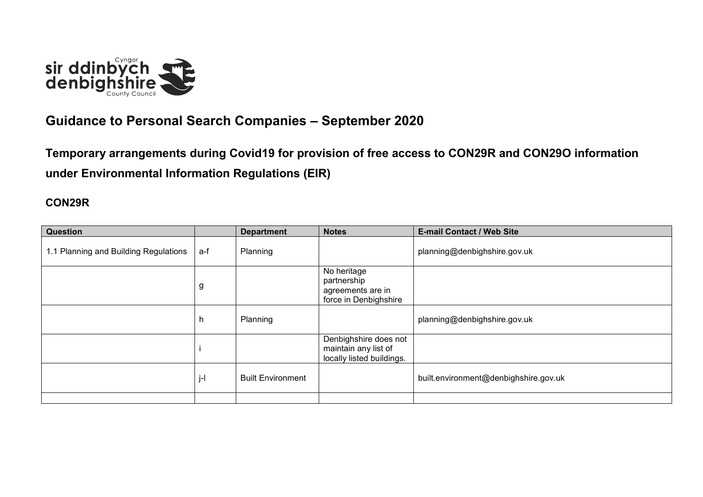

## **Guidance to Personal Search Companies – September 2020**

**Temporary arrangements during Covid19 for provision of free access to CON29R and CON29O information under Environmental Information Regulations (EIR)**

## **CON29R**

| <b>Question</b>                       |     | <b>Department</b>        | <b>Notes</b>                                                               | <b>E-mail Contact / Web Site</b>      |
|---------------------------------------|-----|--------------------------|----------------------------------------------------------------------------|---------------------------------------|
| 1.1 Planning and Building Regulations | a-f | Planning                 |                                                                            | planning@denbighshire.gov.uk          |
|                                       | g   |                          | No heritage<br>partnership<br>agreements are in<br>force in Denbighshire   |                                       |
|                                       | h   | Planning                 |                                                                            | planning@denbighshire.gov.uk          |
|                                       |     |                          | Denbighshire does not<br>maintain any list of<br>locally listed buildings. |                                       |
|                                       | j-l | <b>Built Environment</b> |                                                                            | built.environment@denbighshire.gov.uk |
|                                       |     |                          |                                                                            |                                       |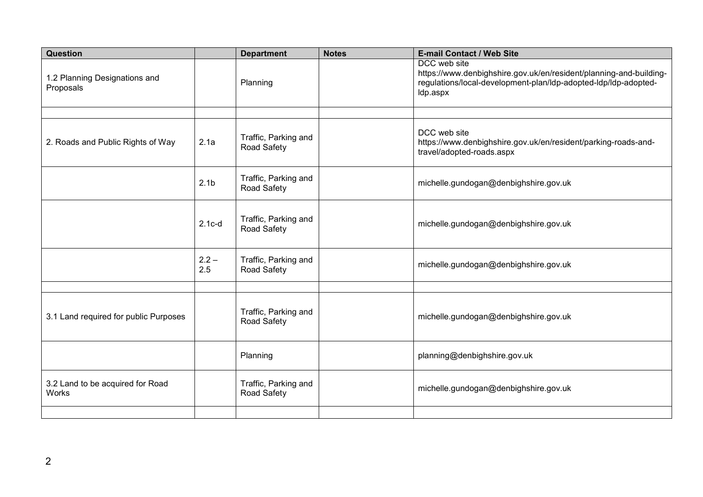| Question                                   |                  | <b>Department</b>                   | <b>Notes</b> | <b>E-mail Contact / Web Site</b>                                                                                                                                  |
|--------------------------------------------|------------------|-------------------------------------|--------------|-------------------------------------------------------------------------------------------------------------------------------------------------------------------|
| 1.2 Planning Designations and<br>Proposals |                  | Planning                            |              | DCC web site<br>https://www.denbighshire.gov.uk/en/resident/planning-and-building-<br>regulations/local-development-plan/ldp-adopted-ldp/ldp-adopted-<br>Idp.aspx |
|                                            |                  |                                     |              |                                                                                                                                                                   |
| 2. Roads and Public Rights of Way          | 2.1a             | Traffic, Parking and<br>Road Safety |              | DCC web site<br>https://www.denbighshire.gov.uk/en/resident/parking-roads-and-<br>travel/adopted-roads.aspx                                                       |
|                                            | 2.1 <sub>b</sub> | Traffic, Parking and<br>Road Safety |              | michelle.gundogan@denbighshire.gov.uk                                                                                                                             |
|                                            | $2.1c-d$         | Traffic, Parking and<br>Road Safety |              | michelle.gundogan@denbighshire.gov.uk                                                                                                                             |
|                                            | $2.2 -$<br>2.5   | Traffic, Parking and<br>Road Safety |              | michelle.gundogan@denbighshire.gov.uk                                                                                                                             |
|                                            |                  |                                     |              |                                                                                                                                                                   |
| 3.1 Land required for public Purposes      |                  | Traffic, Parking and<br>Road Safety |              | michelle.gundogan@denbighshire.gov.uk                                                                                                                             |
|                                            |                  | Planning                            |              | planning@denbighshire.gov.uk                                                                                                                                      |
| 3.2 Land to be acquired for Road<br>Works  |                  | Traffic, Parking and<br>Road Safety |              | michelle.gundogan@denbighshire.gov.uk                                                                                                                             |
|                                            |                  |                                     |              |                                                                                                                                                                   |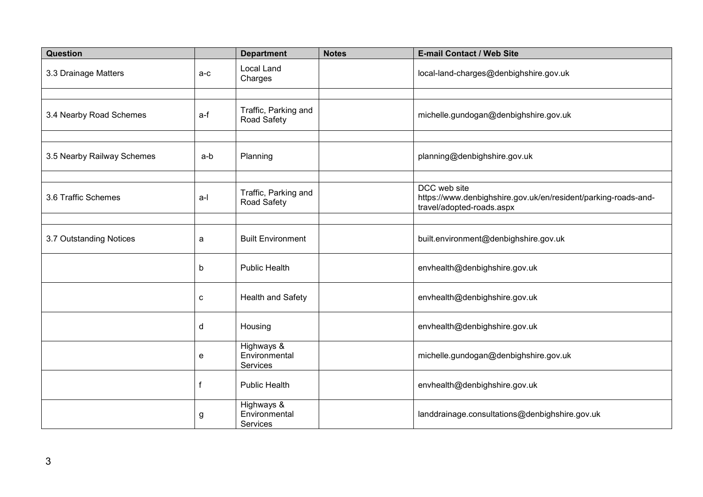| Question                   |       | <b>Department</b>                       | <b>Notes</b> | <b>E-mail Contact / Web Site</b>                                                                            |
|----------------------------|-------|-----------------------------------------|--------------|-------------------------------------------------------------------------------------------------------------|
| 3.3 Drainage Matters       | $a-c$ | <b>Local Land</b><br>Charges            |              | local-land-charges@denbighshire.gov.uk                                                                      |
|                            |       |                                         |              |                                                                                                             |
| 3.4 Nearby Road Schemes    | a-f   | Traffic, Parking and<br>Road Safety     |              | michelle.gundogan@denbighshire.gov.uk                                                                       |
|                            |       |                                         |              |                                                                                                             |
| 3.5 Nearby Railway Schemes | a-b   | Planning                                |              | planning@denbighshire.gov.uk                                                                                |
|                            |       |                                         |              |                                                                                                             |
| 3.6 Traffic Schemes        | a-l   | Traffic, Parking and<br>Road Safety     |              | DCC web site<br>https://www.denbighshire.gov.uk/en/resident/parking-roads-and-<br>travel/adopted-roads.aspx |
|                            |       |                                         |              |                                                                                                             |
| 3.7 Outstanding Notices    | a     | <b>Built Environment</b>                |              | built.environment@denbighshire.gov.uk                                                                       |
|                            | b     | <b>Public Health</b>                    |              | envhealth@denbighshire.gov.uk                                                                               |
|                            | c     | <b>Health and Safety</b>                |              | envhealth@denbighshire.gov.uk                                                                               |
|                            | d     | Housing                                 |              | envhealth@denbighshire.gov.uk                                                                               |
|                            | e     | Highways &<br>Environmental<br>Services |              | michelle.gundogan@denbighshire.gov.uk                                                                       |
|                            | f     | <b>Public Health</b>                    |              | envhealth@denbighshire.gov.uk                                                                               |
|                            | g     | Highways &<br>Environmental<br>Services |              | landdrainage.consultations@denbighshire.gov.uk                                                              |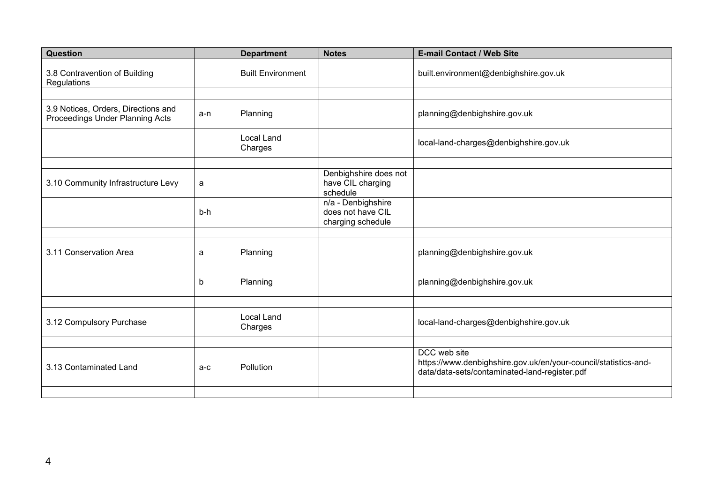| Question                                                               |       | <b>Department</b>            | <b>Notes</b>                                                 | <b>E-mail Contact / Web Site</b>                                                                                                 |
|------------------------------------------------------------------------|-------|------------------------------|--------------------------------------------------------------|----------------------------------------------------------------------------------------------------------------------------------|
| 3.8 Contravention of Building<br>Regulations                           |       | <b>Built Environment</b>     |                                                              | built.environment@denbighshire.gov.uk                                                                                            |
|                                                                        |       |                              |                                                              |                                                                                                                                  |
| 3.9 Notices, Orders, Directions and<br>Proceedings Under Planning Acts | a-n   | Planning                     |                                                              | planning@denbighshire.gov.uk                                                                                                     |
|                                                                        |       | <b>Local Land</b><br>Charges |                                                              | local-land-charges@denbighshire.gov.uk                                                                                           |
|                                                                        |       |                              |                                                              |                                                                                                                                  |
| 3.10 Community Infrastructure Levy                                     | a     |                              | Denbighshire does not<br>have CIL charging<br>schedule       |                                                                                                                                  |
|                                                                        | $b-h$ |                              | n/a - Denbighshire<br>does not have CIL<br>charging schedule |                                                                                                                                  |
|                                                                        |       |                              |                                                              |                                                                                                                                  |
| 3.11 Conservation Area                                                 | a     | Planning                     |                                                              | planning@denbighshire.gov.uk                                                                                                     |
|                                                                        | b     | Planning                     |                                                              | planning@denbighshire.gov.uk                                                                                                     |
|                                                                        |       |                              |                                                              |                                                                                                                                  |
| 3.12 Compulsory Purchase                                               |       | <b>Local Land</b><br>Charges |                                                              | local-land-charges@denbighshire.gov.uk                                                                                           |
|                                                                        |       |                              |                                                              |                                                                                                                                  |
| 3.13 Contaminated Land                                                 | $a-c$ | Pollution                    |                                                              | DCC web site<br>https://www.denbighshire.gov.uk/en/your-council/statistics-and-<br>data/data-sets/contaminated-land-register.pdf |
|                                                                        |       |                              |                                                              |                                                                                                                                  |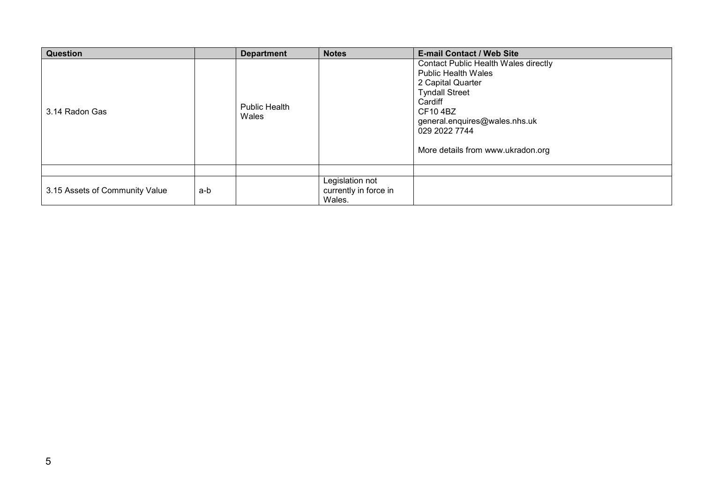| <b>Question</b>                |     | <b>Department</b>             | <b>Notes</b>                                       | <b>E-mail Contact / Web Site</b>                                                                                                                                                                                                     |
|--------------------------------|-----|-------------------------------|----------------------------------------------------|--------------------------------------------------------------------------------------------------------------------------------------------------------------------------------------------------------------------------------------|
| 3.14 Radon Gas                 |     | <b>Public Health</b><br>Wales |                                                    | Contact Public Health Wales directly<br><b>Public Health Wales</b><br>2 Capital Quarter<br><b>Tyndall Street</b><br>Cardiff<br><b>CF104BZ</b><br>general.enquires@wales.nhs.uk<br>029 2022 7744<br>More details from www.ukradon.org |
|                                |     |                               |                                                    |                                                                                                                                                                                                                                      |
| 3.15 Assets of Community Value | a-b |                               | Legislation not<br>currently in force in<br>Wales. |                                                                                                                                                                                                                                      |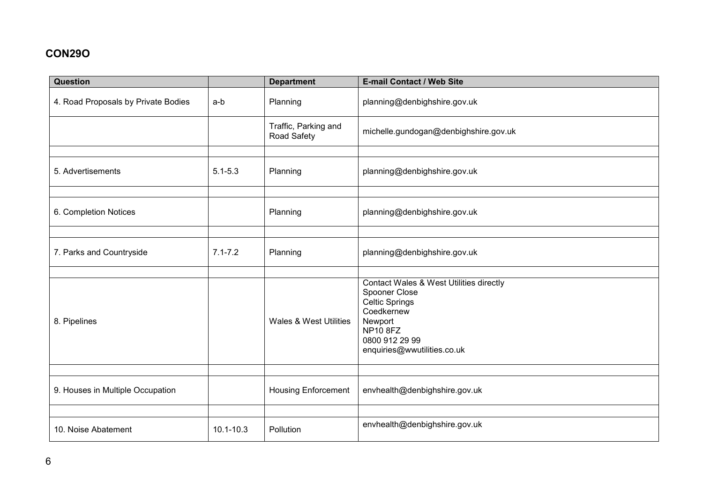## **CON29O**

| <b>Question</b>                     |               | <b>Department</b>                   | E-mail Contact / Web Site                                                                                                                                                      |
|-------------------------------------|---------------|-------------------------------------|--------------------------------------------------------------------------------------------------------------------------------------------------------------------------------|
| 4. Road Proposals by Private Bodies | a-b           | Planning                            | planning@denbighshire.gov.uk                                                                                                                                                   |
|                                     |               | Traffic, Parking and<br>Road Safety | michelle.gundogan@denbighshire.gov.uk                                                                                                                                          |
|                                     |               |                                     |                                                                                                                                                                                |
| 5. Advertisements                   | $5.1 - 5.3$   | Planning                            | planning@denbighshire.gov.uk                                                                                                                                                   |
|                                     |               |                                     |                                                                                                                                                                                |
| 6. Completion Notices               |               | Planning                            | planning@denbighshire.gov.uk                                                                                                                                                   |
|                                     |               |                                     |                                                                                                                                                                                |
| 7. Parks and Countryside            | $7.1 - 7.2$   | Planning                            | planning@denbighshire.gov.uk                                                                                                                                                   |
|                                     |               |                                     |                                                                                                                                                                                |
| 8. Pipelines                        |               | Wales & West Utilities              | Contact Wales & West Utilities directly<br>Spooner Close<br><b>Celtic Springs</b><br>Coedkernew<br>Newport<br><b>NP10 8FZ</b><br>0800 912 29 99<br>enquiries@wwutilities.co.uk |
|                                     |               |                                     |                                                                                                                                                                                |
| 9. Houses in Multiple Occupation    |               | <b>Housing Enforcement</b>          | envhealth@denbighshire.gov.uk                                                                                                                                                  |
|                                     |               |                                     |                                                                                                                                                                                |
| 10. Noise Abatement                 | $10.1 - 10.3$ | Pollution                           | envhealth@denbighshire.gov.uk                                                                                                                                                  |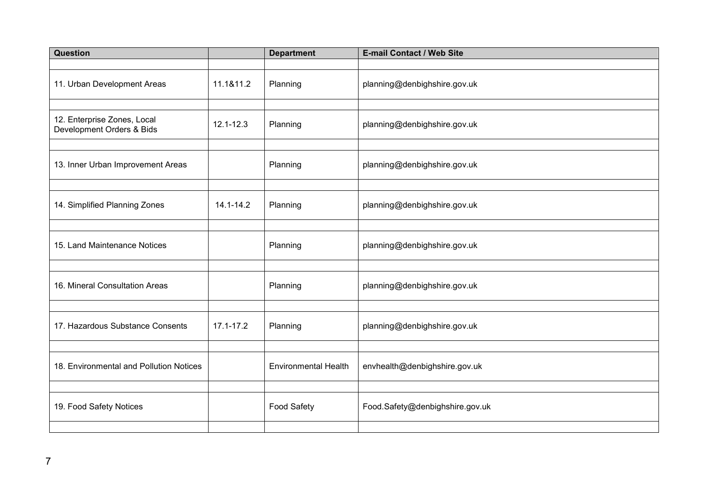| Question                                                 |               | <b>Department</b>           | E-mail Contact / Web Site       |
|----------------------------------------------------------|---------------|-----------------------------|---------------------------------|
|                                                          |               |                             |                                 |
| 11. Urban Development Areas                              | 11.1&11.2     | Planning                    | planning@denbighshire.gov.uk    |
|                                                          |               |                             |                                 |
| 12. Enterprise Zones, Local<br>Development Orders & Bids | $12.1 - 12.3$ | Planning                    | planning@denbighshire.gov.uk    |
|                                                          |               |                             |                                 |
| 13. Inner Urban Improvement Areas                        |               | Planning                    | planning@denbighshire.gov.uk    |
|                                                          |               |                             |                                 |
| 14. Simplified Planning Zones                            | $14.1 - 14.2$ | Planning                    | planning@denbighshire.gov.uk    |
|                                                          |               |                             |                                 |
| 15. Land Maintenance Notices                             |               | Planning                    | planning@denbighshire.gov.uk    |
|                                                          |               |                             |                                 |
| 16. Mineral Consultation Areas                           |               | Planning                    | planning@denbighshire.gov.uk    |
|                                                          |               |                             |                                 |
| 17. Hazardous Substance Consents                         | 17.1-17.2     | Planning                    | planning@denbighshire.gov.uk    |
|                                                          |               |                             |                                 |
| 18. Environmental and Pollution Notices                  |               | <b>Environmental Health</b> | envhealth@denbighshire.gov.uk   |
|                                                          |               |                             |                                 |
| 19. Food Safety Notices                                  |               | <b>Food Safety</b>          | Food.Safety@denbighshire.gov.uk |
|                                                          |               |                             |                                 |